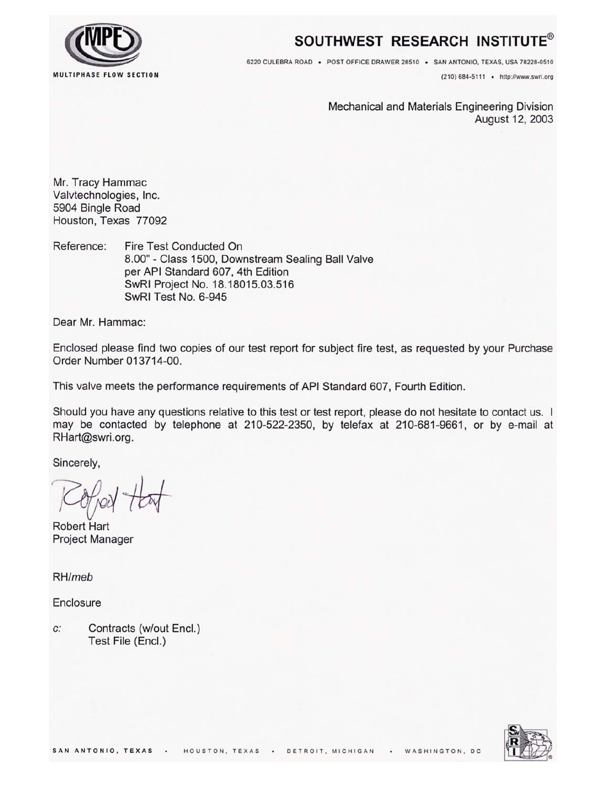

# SOUTHWEST RESEARCH INSTITUTE®

6220 CULEBRA ROAD · POST OFFICE DRAWER 28510 · SAN ANTONIO, TEXAS, USA 78228-0510

(210) 684-5111 . http://www.swri.org

Mechanical and Materials Engineering Division August 12, 2003

Mr. Tracy Hammac Valvtechnologies, Inc. 5904 Bingle Road Houston, Texas 77092

Fire Test Conducted On Reference: 8.00" - Class 1500, Downstream Sealing Ball Valve per API Standard 607, 4th Edition SwRI Project No. 18.18015.03.516 SwRI Test No. 6-945

Dear Mr. Hammac:

Enclosed please find two copies of our test report for subject fire test, as requested by your Purchase Order Number 013714-00.

This valve meets the performance requirements of API Standard 607, Fourth Edition.

Should you have any questions relative to this test or test report, please do not hesitate to contact us. I may be contacted by telephone at 210-522-2350, by telefax at 210-681-9661, or by e-mail at RHart@swri.org.

Sincerely,

**Robert Hart Project Manager** 

RH/meb

Enclosure

 $C^*$ Contracts (w/out Encl.) Test File (Encl.)

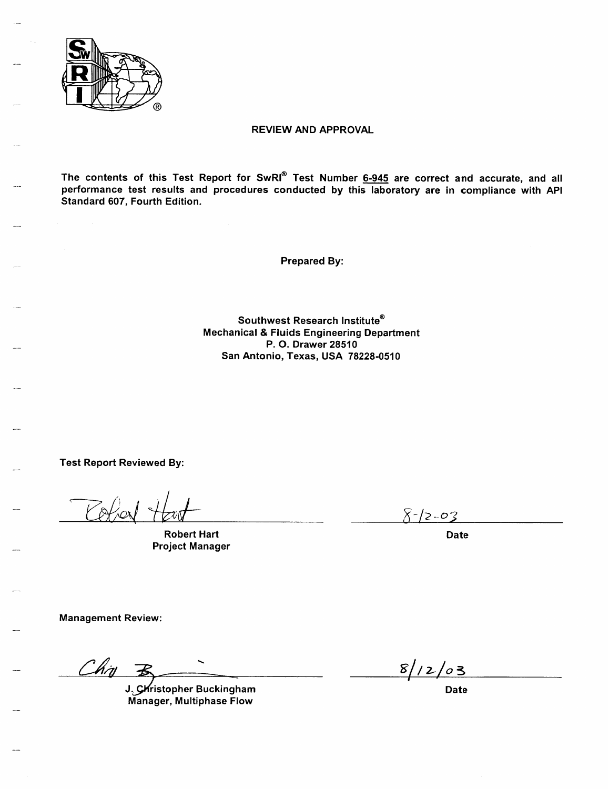

### **REVIEW AND APPROVAL**

The contents of this Test Report for SwRI® Test Number 6-945 are correct and accurate, and all performance test results and procedures conducted by this laboratory are in compliance with API Standard 607, Fourth Edition.

**Prepared By:** 

Southwest Research Institute® **Mechanical & Fluids Engineering Department** P. O. Drawer 28510 San Antonio, Texas, USA 78228-0510

**Test Report Reviewed By:** 

**Robert Hart Project Manager** 

 $8 - 12 - 03$ 

**Date** 

**Management Review:** 

 $Chy$   $\overline{B}$ 

J. Christopher Buckingham Manager, Multiphase Flow

 $8/12/03$ 

**Date**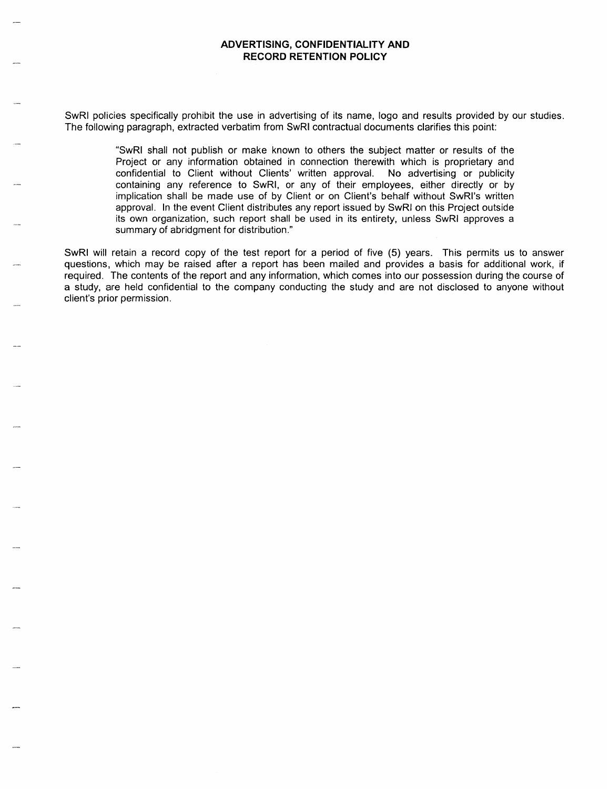SwRI policies specifically prohibit the use in advertising of its name, logo and results provided by our studies. The following paragraph, extracted verbatim from SwRI contractual documents clarifies this point:

> "SwRI shall not publish or make known to others the subject matter or results of the Project or any information obtained in connection therewith which is proprietary and confidential to Client without Clients' written approval. No advertising or publicity containing any reference to SwRI, or any of their employees, either directly or by implication shall be made use of by Client or on Client's behalf without SwRI's written approval. In the event Client distributes any report issued by SwRI on this Project outside its own organization, such report shall be used in its entirety, unless SwRI approves a summary of abridgment for distribution."

SwRI will retain a record copy of the test report for a period of five (5) years. This permits us to answer questions, which may be raised after a report has been mailed and provides a basis for additional work, if required. The contents of the report and any information, which comes into our possession during the course of a study, are held confidential to the company conducting the study and are not disclosed to anyone without client's prior permission.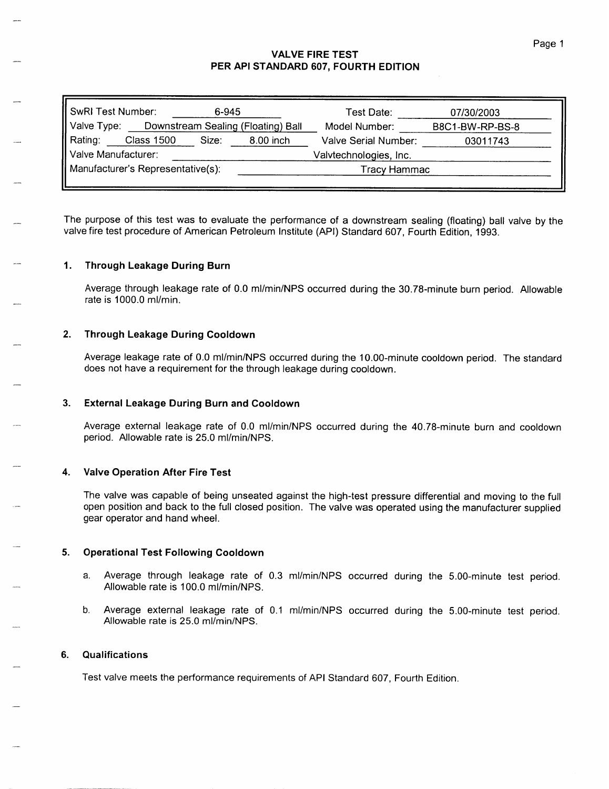## **VALVE FIRE TEST** PER API STANDARD 607, FOURTH EDITION

| <b>SwRI Test Number:</b>          | 6-945                              | Test Date:             | 07/30/2003      |
|-----------------------------------|------------------------------------|------------------------|-----------------|
| Valve Type:                       | Downstream Sealing (Floating) Ball | Model Number:          | B8C1-BW-RP-BS-8 |
| Rating:<br><b>Class 1500</b>      | Size:<br>8.00 inch                 | Valve Serial Number:   | 03011743        |
| Valve Manufacturer:               |                                    | Valvtechnologies, Inc. |                 |
|                                   |                                    | Tracy Hammac           |                 |
| Manufacturer's Representative(s): |                                    |                        |                 |

The purpose of this test was to evaluate the performance of a downstream sealing (floating) ball valve by the valve fire test procedure of American Petroleum Institute (API) Standard 607, Fourth Edition, 1993.

#### $1.$ **Through Leakage During Burn**

Average through leakage rate of 0.0 ml/min/NPS occurred during the 30.78-minute burn period. Allowable rate is 1000.0 ml/min.

#### $2.$ **Through Leakage During Cooldown**

Average leakage rate of 0.0 ml/min/NPS occurred during the 10.00-minute cooldown period. The standard does not have a requirement for the through leakage during cooldown.

#### $3.$ **External Leakage During Burn and Cooldown**

Average external leakage rate of 0.0 ml/min/NPS occurred during the 40.78-minute burn and cooldown period. Allowable rate is 25.0 ml/min/NPS.

#### **Valve Operation After Fire Test** 4.

The valve was capable of being unseated against the high-test pressure differential and moving to the full open position and back to the full closed position. The valve was operated using the manufacturer supplied gear operator and hand wheel.

#### 5. **Operational Test Following Cooldown**

- Average through leakage rate of 0.3 ml/min/NPS occurred during the 5.00-minute test period. a. Allowable rate is 100.0 ml/min/NPS.
- b. Average external leakage rate of 0.1 ml/min/NPS occurred during the 5.00-minute test period. Allowable rate is 25.0 ml/min/NPS.

#### Qualifications 6.

Test valve meets the performance requirements of API Standard 607, Fourth Edition.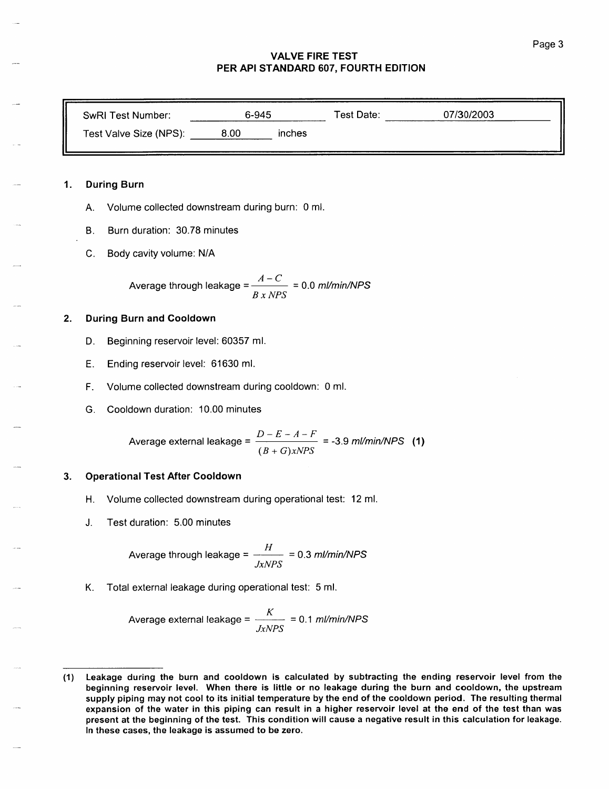### **VALVE FIRE TEST** PER API STANDARD 607, FOURTH EDITION

| SwRI Test Number:      | 6-945 |        | Test Date: | 07/30/2003 |  |
|------------------------|-------|--------|------------|------------|--|
| Test Valve Size (NPS): | 8.00  | inches |            |            |  |

#### $1.$ **During Burn**

- Volume collected downstream during burn: 0 ml. A.
- Burn duration: 30.78 minutes **B.**
- Body cavity volume: N/A  $C_{\cdot}$

Average through leakage =  $\frac{A-C}{B x NPS}$  = 0.0 ml/min/NPS

#### **During Burn and Cooldown** 2.

- Beginning reservoir level: 60357 ml. D.
- Ending reservoir level: 61630 ml. Е.
- Volume collected downstream during cooldown: 0 ml. F.
- Cooldown duration: 10.00 minutes G.

Average external leakage = 
$$
\frac{D - E - A - F}{(B + G)xNPS} = -3.9 \text{ m} / \text{min} / NPS \quad (1)
$$

#### **Operational Test After Cooldown** 3.

- Volume collected downstream during operational test: 12 ml. Η.
- Test duration: 5.00 minutes J.

Average through leakage =  $\frac{H}{JxNPS}$  = 0.3 ml/min/NPS

K. Total external leakage during operational test: 5 ml.

Average external leakage =  $\frac{K}{JxNPS}$  = 0.1 ml/min/NPS

Leakage during the burn and cooldown is calculated by subtracting the ending reservoir level from the  $(1)$ beginning reservoir level. When there is little or no leakage during the burn and cooldown, the upstream supply piping may not cool to its initial temperature by the end of the cooldown period. The resulting thermal expansion of the water in this piping can result in a higher reservoir level at the end of the test than was present at the beginning of the test. This condition will cause a negative result in this calculation for leakage. In these cases, the leakage is assumed to be zero.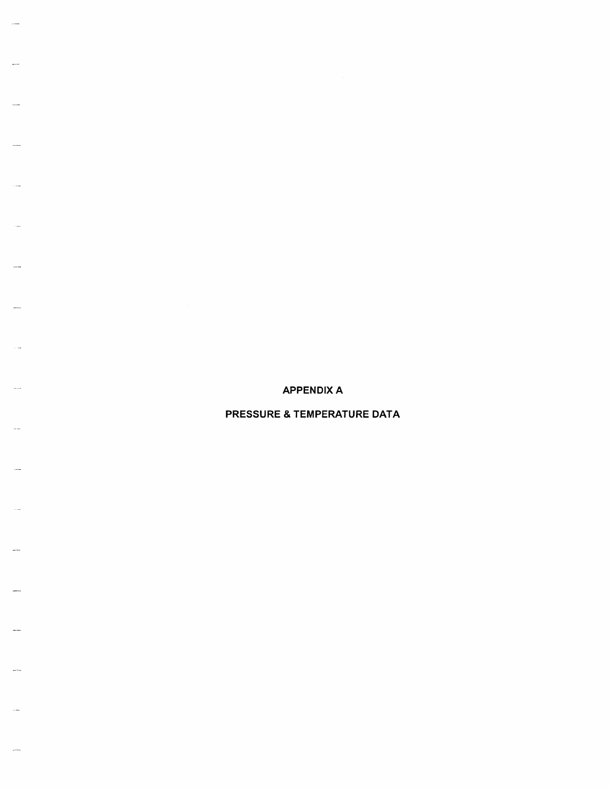**APPENDIX A** 

PRESSURE & TEMPERATURE DATA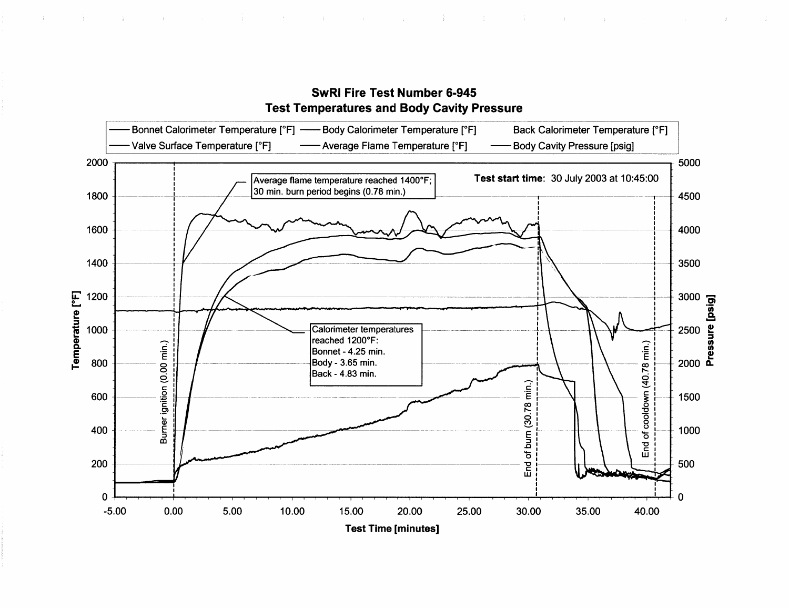

# **SwRI Fire Test Number 6-945 Test Temperatures and Body Cavity Pressure**

一 一

the contract of the contract of the contract of the contract of the contract of

 $\sim 10^{-11}$ 

 $\sim 10^{-1}$ 

and the contract of the contract of the contract of the contract of the contract of

 $\mathcal{A}^{\text{max}}$ 

in Bo

 $\sim 10$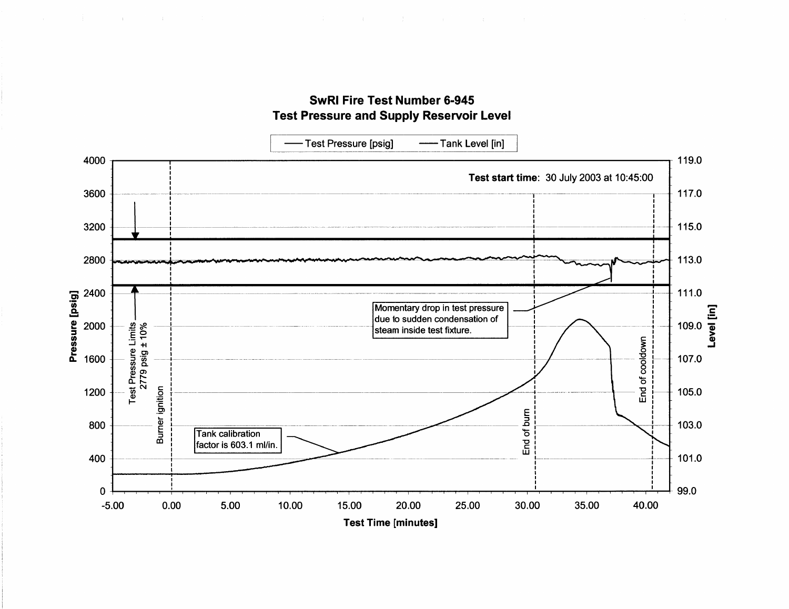



**Test Time [minutes]**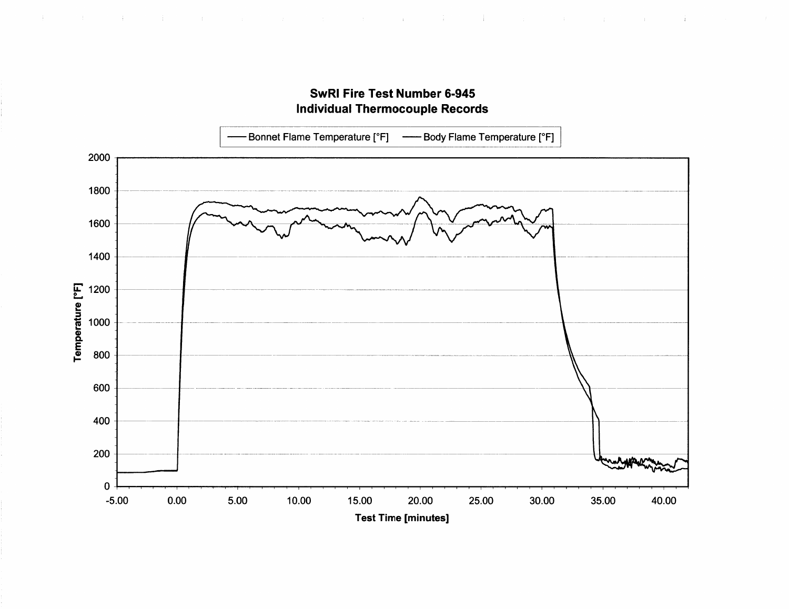

# **SwRI Fire Test Number 6-945 Individual Thermocouple Records**

 $\sim 100$ 

一个

 $\sim 10$ 

 $\sim 10^7$ 

 $\frac{1}{2}$ 

 $\mathcal{A}=\{1,2,3,4,5\}$  . The  $\mathcal{A}=\{1,2,3,4,5\}$ 

 $\sim 4$  .

 $\sim 10^5$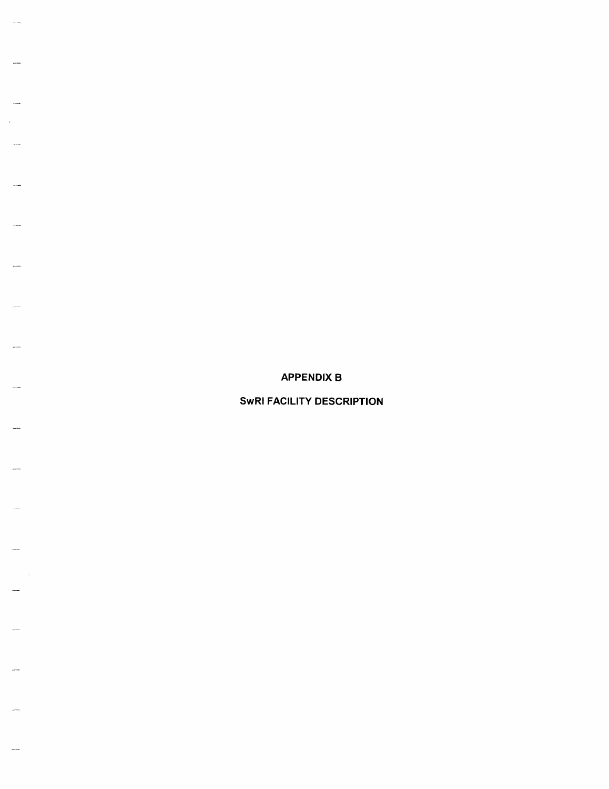**APPENDIX B** 

**SwRI FACILITY DESCRIPTION**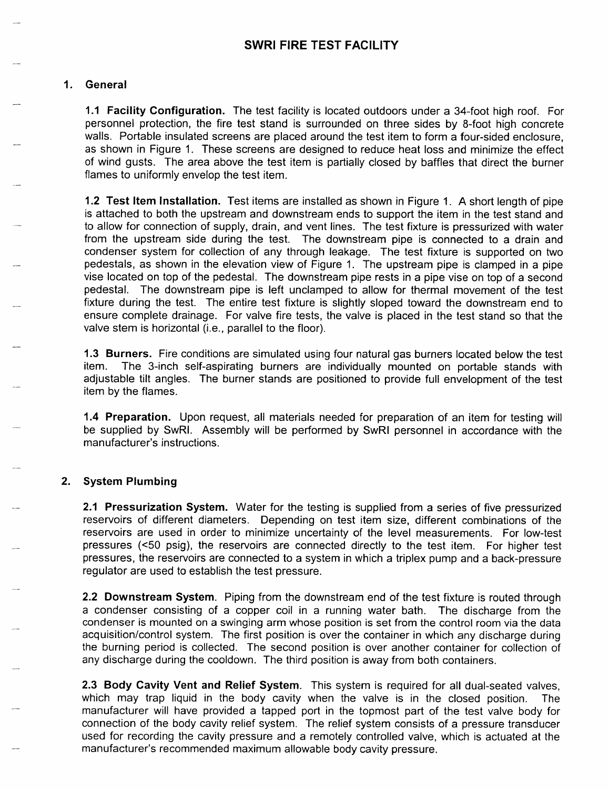# 1. General

1.1 Facility Configuration. The test facility is located outdoors under a 34-foot high roof. For personnel protection, the fire test stand is surrounded on three sides by 8-foot high concrete walls. Portable insulated screens are placed around the test item to form a four-sided enclosure. as shown in Figure 1. These screens are designed to reduce heat loss and minimize the effect of wind gusts. The area above the test item is partially closed by baffles that direct the burner flames to uniformly envelop the test item.

1.2 Test Item Installation. Test items are installed as shown in Figure 1. A short length of pipe is attached to both the upstream and downstream ends to support the item in the test stand and to allow for connection of supply, drain, and vent lines. The test fixture is pressurized with water from the upstream side during the test. The downstream pipe is connected to a drain and condenser system for collection of any through leakage. The test fixture is supported on two pedestals, as shown in the elevation view of Figure 1. The upstream pipe is clamped in a pipe vise located on top of the pedestal. The downstream pipe rests in a pipe vise on top of a second pedestal. The downstream pipe is left unclamped to allow for thermal movement of the test fixture during the test. The entire test fixture is slightly sloped toward the downstream end to ensure complete drainage. For valve fire tests, the valve is placed in the test stand so that the valve stem is horizontal (i.e., parallel to the floor).

1.3 Burners. Fire conditions are simulated using four natural gas burners located below the test item. The 3-inch self-aspirating burners are individually mounted on portable stands with adjustable tilt angles. The burner stands are positioned to provide full envelopment of the test item by the flames.

1.4 Preparation. Upon request, all materials needed for preparation of an item for testing will be supplied by SwRI. Assembly will be performed by SwRI personnel in accordance with the manufacturer's instructions.

# 2. System Plumbing

2.1 Pressurization System. Water for the testing is supplied from a series of five pressurized reservoirs of different diameters. Depending on test item size, different combinations of the reservoirs are used in order to minimize uncertainty of the level measurements. For low-test pressures (<50 psig), the reservoirs are connected directly to the test item. For higher test pressures, the reservoirs are connected to a system in which a triplex pump and a back-pressure requilator are used to establish the test pressure.

2.2 Downstream System. Piping from the downstream end of the test fixture is routed through a condenser consisting of a copper coil in a running water bath. The discharge from the condenser is mounted on a swinging arm whose position is set from the control room via the data acquisition/control system. The first position is over the container in which any discharge during the burning period is collected. The second position is over another container for collection of any discharge during the cooldown. The third position is away from both containers.

2.3 Body Cavity Vent and Relief System. This system is required for all dual-seated valves, which may trap liquid in the body cavity when the valve is in the closed position. The manufacturer will have provided a tapped port in the topmost part of the test valve body for connection of the body cavity relief system. The relief system consists of a pressure transducer used for recording the cavity pressure and a remotely controlled valve, which is actuated at the manufacturer's recommended maximum allowable body cavity pressure.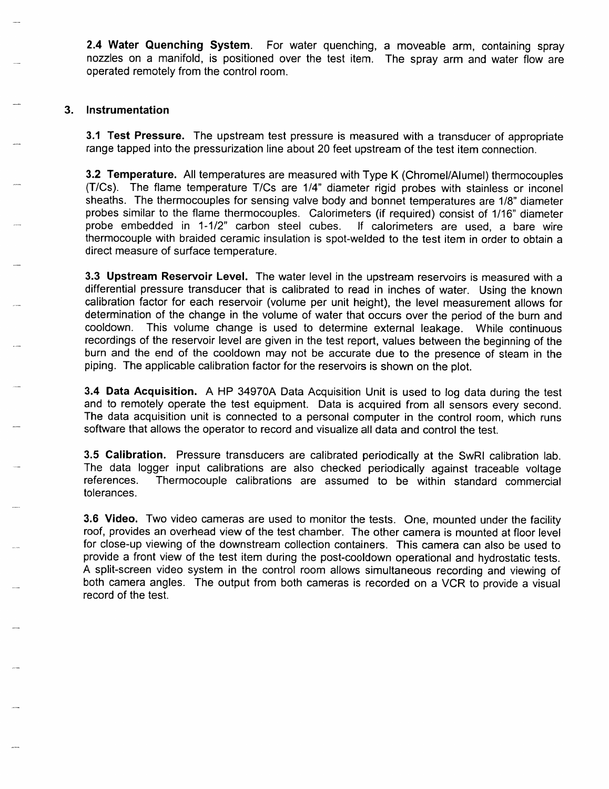2.4 Water Quenching System. For water quenching, a moveable arm, containing spray nozzles on a manifold, is positioned over the test item. The spray arm and water flow are operated remotely from the control room.

# 3. Instrumentation

3.1 Test Pressure. The upstream test pressure is measured with a transducer of appropriate range tapped into the pressurization line about 20 feet upstream of the test item connection.

3.2 Temperature. All temperatures are measured with Type K (Chromel/Alumel) thermocouples (T/Cs). The flame temperature T/Cs are 1/4" diameter rigid probes with stainless or inconel sheaths. The thermocouples for sensing valve body and bonnet temperatures are 1/8" diameter probes similar to the flame thermocouples. Calorimeters (if required) consist of 1/16" diameter probe embedded in 1-1/2" carbon steel cubes. If calorimeters are used, a bare wire thermocouple with braided ceramic insulation is spot-welded to the test item in order to obtain a direct measure of surface temperature.

3.3 Upstream Reservoir Level. The water level in the upstream reservoirs is measured with a differential pressure transducer that is calibrated to read in inches of water. Using the known calibration factor for each reservoir (volume per unit height), the level measurement allows for determination of the change in the volume of water that occurs over the period of the burn and This volume change is used to determine external leakage. While continuous cooldown. recordings of the reservoir level are given in the test report, values between the beginning of the burn and the end of the cooldown may not be accurate due to the presence of steam in the piping. The applicable calibration factor for the reservoirs is shown on the plot.

3.4 Data Acquisition. A HP 34970A Data Acquisition Unit is used to log data during the test and to remotely operate the test equipment. Data is acquired from all sensors every second. The data acquisition unit is connected to a personal computer in the control room, which runs software that allows the operator to record and visualize all data and control the test.

3.5 Calibration. Pressure transducers are calibrated periodically at the SwRI calibration lab. The data logger input calibrations are also checked periodically against traceable voltage references. Thermocouple calibrations are assumed to be within standard commercial tolerances.

3.6 Video. Two video cameras are used to monitor the tests. One, mounted under the facility roof, provides an overhead view of the test chamber. The other camera is mounted at floor level for close-up viewing of the downstream collection containers. This camera can also be used to provide a front view of the test item during the post-cooldown operational and hydrostatic tests. A split-screen video system in the control room allows simultaneous recording and viewing of both camera angles. The output from both cameras is recorded on a VCR to provide a visual record of the test.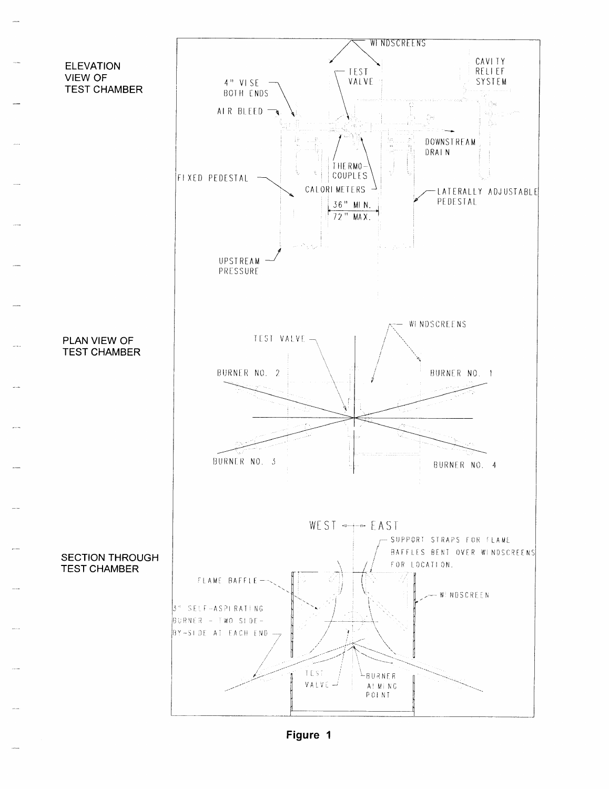

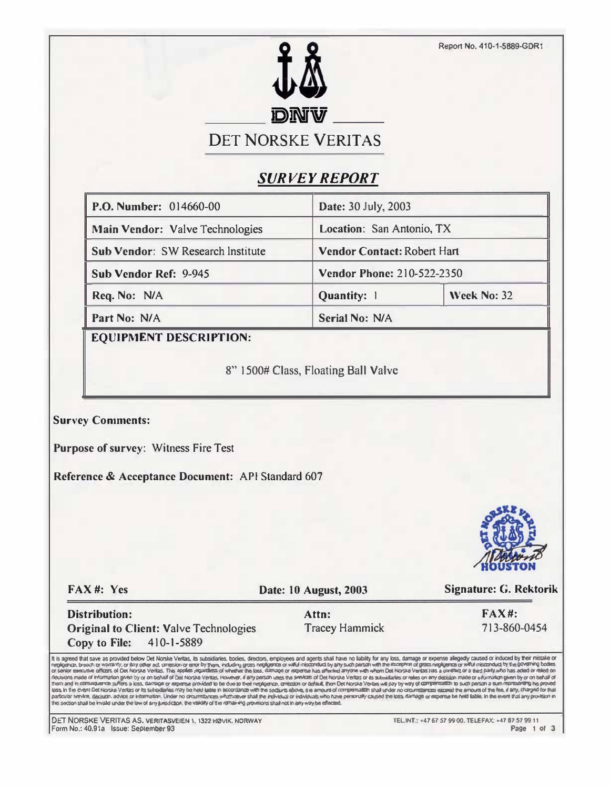

# **SURVEY REPORT**

| P.O. Number: 014660-00            | Date: 30 July, 2003                |             |  |
|-----------------------------------|------------------------------------|-------------|--|
| Main Vendor: Valve Technologies   | Location: San Antonio, TX          |             |  |
| Sub Vendor: SW Research Institute | <b>Vendor Contact: Robert Hart</b> |             |  |
| Sub Vendor Ref: 9-945             | <b>Vendor Phone: 210-522-2350</b>  |             |  |
| Req. No: N/A                      | Quantity: 1                        | Week No: 32 |  |
| Part No: N/A                      | <b>Serial No: N/A</b>              |             |  |

**EQUIPMENT DESCRIPTION:** 

8" 1500# Class, Floating Ball Valve

**Survey Comments:** 

Purpose of survey: Witness Fire Test

Reference & Acceptance Document: API Standard 607



FAX#: Yes

Date: 10 August, 2003

**Signature: G. Rektorik** 

**Distribution: Original to Client: Valve Technologies** 410-1-5889 Copy to File:

Attn: **Tracey Hammick**  **FAX#:** 713-860-0454

It is agreed that save as provided below Det Norske Ventas, its subsidiaries, bodies, directors, employees and agents shall have no liability for any loss, damage or expense allegedly caused or induced by their mistake or decisions made of information given by or on behalf of Det Norska Vertas. However, if any parson uses the switchs of Det Norska Vertais or as subsidiaties or rates on any decision made or adurnment given by or on behalf of non any two secure way with the common and the continue interesting and the mount of competition shall and the mount of the amount of the amount of the form in a secure with the secure of the secure in the secure is all or

DET NORSKE VERITAS AS, VERITASVEIEN 1, 1322 HØVIK, NORWAY Form No.: 40.91a Issue: September 93

TEL.INT.: +47 67 57 99 00. TELEFAX: +47 67 57 99 11 Page 1 of 3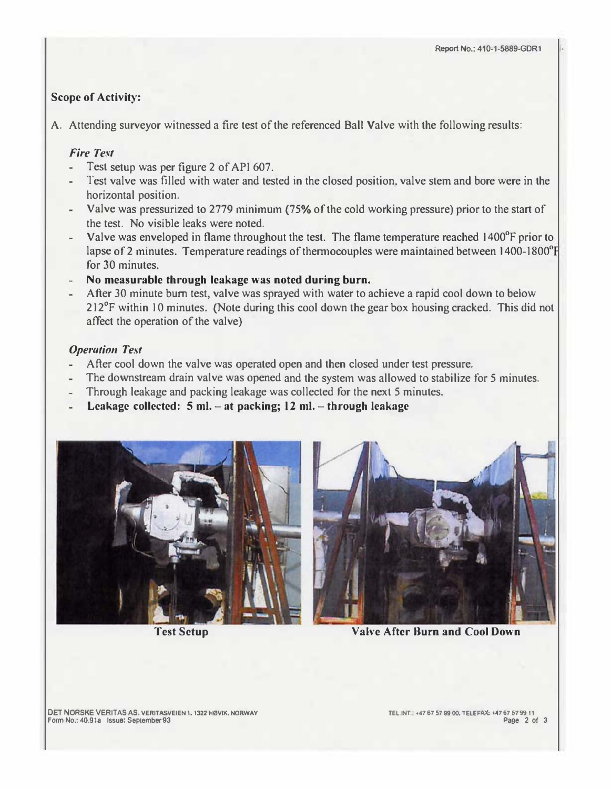# Scope of Activity:

A. Attending surveyor witnessed a fire test of the referenced Ball Valve with the following results:

### Fire Test

- Test setup was per figure 2 of API 607.
- Test valve was filled with water and tested in the closed position. valve stem and bore were in the horizontal position.
- Valve was pressurized to 2779 minimum (75% of the cold working pressure) prior to the stan of the test. No visible leaks were noted.
- Valve was enveloped in flame throughout the test. The flame temperature reached I 400°F prior to lapse of 2 minutes. Temperature readings of thermocouples were maintained between 1400-1800<sup>°</sup>F for 30 minutes.
- No measurable through leakage was noted during burn.
- After 30 minute bum test, valve was sprayed with water to achieve a rapid cool down to below 212°F within 10 minutes. (Note during this cool down the gear box housing cracked. This did not affect the operation of the valve)

### Operation Test

- After cool down the valve was operated open and then closed under test pressure.
- The downstream drain valve was opened and the system was allowed to stabilize for 5 minutes.
- Through leakage and packing leakage was collected for the next 5 minutes.
- Leakage collected: 5 ml.  $-$  at packing; 12 ml.  $-$  through leakage



Test Setup



Valve After Burn and Cool Down

DET NORSKE VERITAS AS. VERITASVEIEN 1. 1322 HØVIK. NORWAY Form No.: 40.91a Issue: Seplember 93